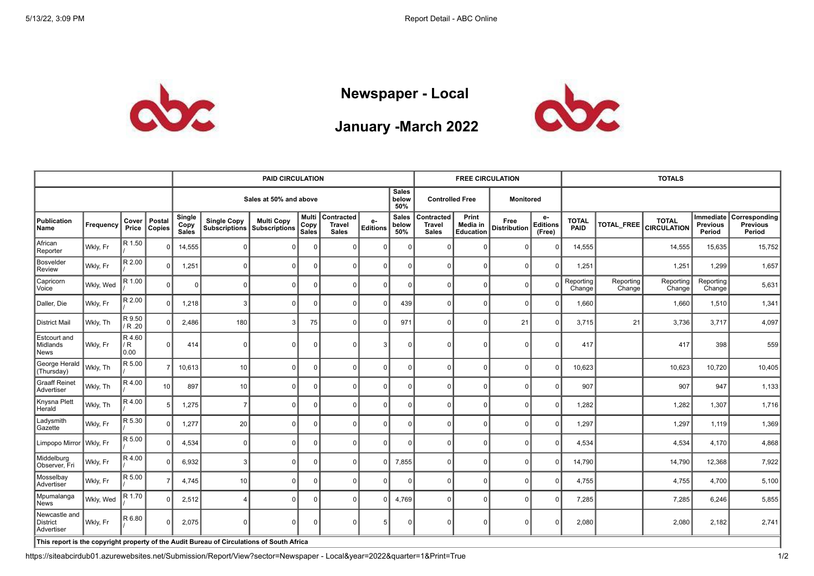

## **Newspaper - Local**





|                                         |           |                       |                  | <b>PAID CIRCULATION</b>                |                                                                                           |                                           |                        |                                                    |                |                              |                                             | <b>FREE CIRCULATION</b>               |                             |                                 | <b>TOTALS</b>        |                     |                                    |                                        |                                     |
|-----------------------------------------|-----------|-----------------------|------------------|----------------------------------------|-------------------------------------------------------------------------------------------|-------------------------------------------|------------------------|----------------------------------------------------|----------------|------------------------------|---------------------------------------------|---------------------------------------|-----------------------------|---------------------------------|----------------------|---------------------|------------------------------------|----------------------------------------|-------------------------------------|
|                                         |           |                       |                  | <b>Sales</b><br>Sales at 50% and above |                                                                                           |                                           |                        |                                                    |                |                              | <b>Controlled Free</b>                      |                                       | <b>Monitored</b>            |                                 |                      |                     |                                    |                                        |                                     |
| Publication<br>Name                     | Frequency | Cover<br>Price        | Postal<br>Copies | Single<br>Copy<br><b>Sales</b>         | <b>Single Copy</b><br><b>Subscriptions</b>                                                | <b>Multi Copy</b><br><b>Subscriptions</b> | Multi<br>Copy<br>Sales | <b>Contracted</b><br><b>Travel</b><br><b>Sales</b> | e-<br>Editions | <b>Sales</b><br>below<br>50% | Contracted<br><b>Travel</b><br><b>Sales</b> | Print<br>Media in<br><b>Education</b> | Free<br><b>Distribution</b> | e-<br><b>Editions</b><br>(Free) | <b>TOTAL</b><br>PAID | TOTAL_FREE          | <b>TOTAL</b><br><b>CIRCULATION</b> | Immediate<br><b>Previous</b><br>Period | Corresponding<br>Previous<br>Period |
| African<br>Reporter                     | Wkly, Fr  | R 1.50                | $\Omega$         | 14,555                                 | $\Omega$                                                                                  | $\Omega$                                  |                        | $\Omega$                                           | $\Omega$       | $\Omega$                     | $\Omega$                                    | $\Omega$                              | <sup>n</sup>                | $\Omega$                        | 14,555               |                     | 14,555                             | 15,635                                 | 15,752                              |
| Bosvelder<br><b>Review</b>              | Wkly, Fr  | R 2.00                | $\Omega$         | 1,251                                  | $\Omega$                                                                                  | $\Omega$                                  | $\Omega$               | $\Omega$                                           | $\Omega$       | $\Omega$                     | $\Omega$                                    | $\Omega$                              | $\Omega$                    | $\Omega$                        | 1,251                |                     | 1,251                              | 1,299                                  | 1,657                               |
| Capricorn<br>Voice                      | Wkly, Wed | R 1.00                | $\Omega$         | $\Omega$                               | $\Omega$                                                                                  | $\overline{0}$                            | $\Omega$               | $\Omega$                                           | $\Omega$       | $\Omega$                     | $\overline{0}$                              | $\Omega$                              | $\Omega$                    |                                 | Reporting<br>Change  | Reporting<br>Change | Reporting<br>Change                | Reporting<br>Change                    | 5,631                               |
| Daller, Die                             | Wkly, Fr  | R 2.00                | $\Omega$         | 1,218                                  | 3                                                                                         | $\Omega$                                  | O                      | $\Omega$                                           | $\Omega$       | 439                          | $\Omega$                                    | $\Omega$                              | <sup>0</sup>                | $\Omega$                        | 1,660                |                     | 1,660                              | 1,510                                  | 1,341                               |
| District Mail                           | Wkly, Th  | R 9.50<br>$/$ R .20   | $\Omega$         | 2,486                                  | 180                                                                                       | 3                                         | 75                     | $\Omega$                                           | $\Omega$       | 971                          | $\overline{0}$                              | $\Omega$                              | 21                          | $\Omega$                        | 3,715                | 21                  | 3,736                              | 3,717                                  | 4,097                               |
| Estcourt and<br>Midlands<br><b>News</b> | Wkly, Fr  | R 4.60<br>/R<br> 0.00 | $\overline{0}$   | 414                                    | $\Omega$                                                                                  | 0 <sup>1</sup>                            | n                      | $\Omega$                                           | 3              | $\Omega$                     | $\Omega$                                    | $\Omega$                              | n                           | $\Omega$                        | 417                  |                     | 417                                | 398                                    | 559                                 |
| George Herald<br>(Thursday)             | Wkly, Th  | R 5.00                | $\overline{7}$   | 10,613                                 | 10                                                                                        | 0 <sup>1</sup>                            | $\Omega$               | $\Omega$                                           | $\Omega$       | $\Omega$                     | $\overline{0}$                              | $\Omega$                              | n                           | $\Omega$                        | 10,623               |                     | 10,623                             | 10,720                                 | 10,405                              |
| <b>Graaff Reinet</b><br>Advertiser      | Wkly, Th  | R 4.00                | 10 <sup>1</sup>  | 897                                    | 10                                                                                        | 0 <sup>1</sup>                            | $\Omega$               | $\mathbf 0$                                        | $\Omega$       | $\Omega$                     | $\overline{0}$                              | $\Omega$                              | $\Omega$                    | $\Omega$                        | 907                  |                     | 907                                | 947                                    | 1,133                               |
| Knysna Plett<br>Herald                  | Wkly, Th  | R 4.00                | 5                | 1,275                                  | $\overline{7}$                                                                            | 0 <sup>1</sup>                            | $\Omega$               | 0                                                  | $\Omega$       | 0                            | 0                                           | $\Omega$                              | $\Omega$                    | $\Omega$                        | 1,282                |                     | 1,282                              | 1,307                                  | 1,716                               |
| Ladysmith<br>Gazette                    | Wkly, Fr  | R 5.30                | $\Omega$         | 1,277                                  | 20                                                                                        | 0 <sup>1</sup>                            | n                      | $\Omega$                                           | $\Omega$       | $\Omega$                     | $\overline{0}$                              | $\Omega$                              | <sup>n</sup>                | $\Omega$                        | 1,297                |                     | 1,297                              | 1,119                                  | 1,369                               |
| Limpopo Mirror Wkly, Fr                 |           | R 5.00                | $\Omega$         | 4,534                                  | $\Omega$                                                                                  | 0 <sup>1</sup>                            | n                      | $\Omega$                                           | $\Omega$       | $\Omega$                     | $\overline{0}$                              | $\Omega$                              | n                           | $\Omega$                        | 4,534                |                     | 4,534                              | 4,170                                  | 4,868                               |
| Middelburg<br>Observer, Fri             | Wkly, Fr  | R 4.00                | $\Omega$         | 6,932                                  | 3                                                                                         | 0 <sup>1</sup>                            | $\Omega$               | $\mathbf 0$                                        | $\Omega$       | 7,855                        | 0                                           | $\Omega$                              | $\Omega$                    | $\Omega$                        | 14,790               |                     | 14,790                             | 12,368                                 | 7,922                               |
| Mosselbay<br>Advertiser                 | Wkly, Fr  | R 5.00                | $\overline{7}$   | 4,745                                  | 10                                                                                        | 0 <sup>1</sup>                            | $\Omega$               | $\Omega$                                           | $\Omega$       | $\Omega$                     | 0                                           | $\Omega$                              | $\overline{0}$              | $\Omega$                        | 4,755                |                     | 4,755                              | 4,700                                  | 5,100                               |
| Mpumalanga<br>News                      | Wkly, Wed | R 1.70                | $\Omega$         | 2,512                                  |                                                                                           | $\Omega$                                  | $\Omega$               | $\Omega$                                           | $\Omega$       | 4,769                        | $\Omega$                                    | $\Omega$                              | $\Omega$                    | $\cap$                          | 7,285                |                     | 7,285                              | 6,246                                  | 5,855                               |
| Newcastle and<br>District<br>Advertiser | Wkly, Fr  | R 6.80                | $\Omega$         | 2,075                                  | $\Omega$                                                                                  | $\Omega$                                  |                        | $\Omega$                                           | 5              | $\Omega$                     | $\Omega$                                    | $\Omega$                              | n                           |                                 | 2,080                |                     | 2,080                              | 2,182                                  | 2,741                               |
|                                         |           |                       |                  |                                        | This report is the copyright property of the Audit Bureau of Circulations of South Africa |                                           |                        |                                                    |                |                              |                                             |                                       |                             |                                 |                      |                     |                                    |                                        |                                     |